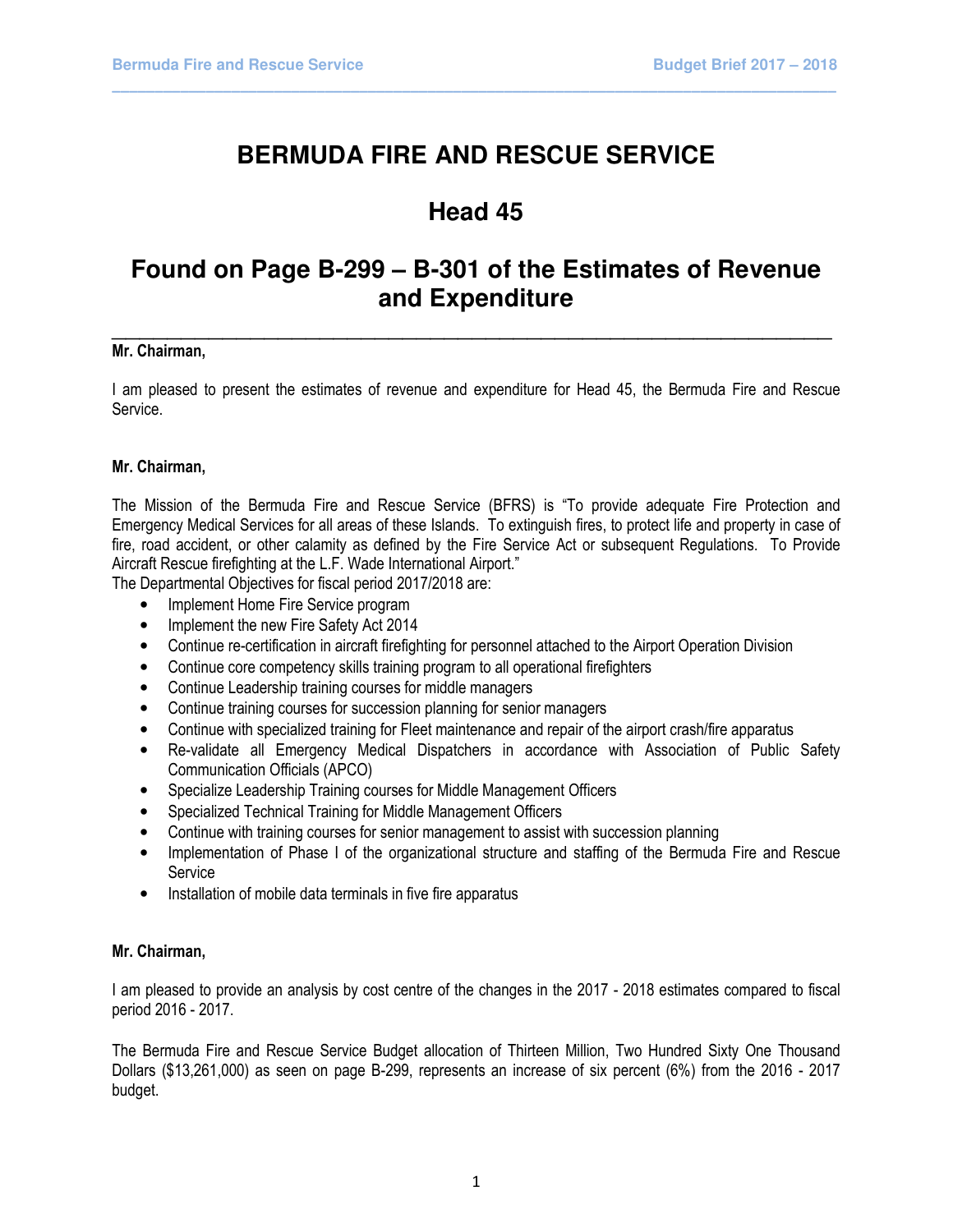# **BERMUDA FIRE AND RESCUE SERVICE**

\_\_\_\_\_\_\_\_\_\_\_\_\_\_\_\_\_\_\_\_\_\_\_\_\_\_\_\_\_\_\_\_\_\_\_\_\_\_\_\_\_\_\_\_\_\_\_\_\_\_\_\_\_\_\_\_\_\_\_\_\_\_\_\_\_\_\_\_\_\_\_\_\_\_\_\_\_\_\_\_\_\_\_\_\_

# **Head 45**

# **Found on Page B-299 – B-301 of the Estimates of Revenue and Expenditure**

#### **Mr. Chairman, Example 2018 Mr. Chairman, Example 2018 Mr. Chairman, 2018** Mr. Chairman,

I am pleased to present the estimates of revenue and expenditure for Head 45, the Bermuda Fire and Rescue Service.

# Mr. Chairman,

The Mission of the Bermuda Fire and Rescue Service (BFRS) is "To provide adequate Fire Protection and Emergency Medical Services for all areas of these Islands. To extinguish fires, to protect life and property in case of fire, road accident, or other calamity as defined by the Fire Service Act or subsequent Regulations. To Provide Aircraft Rescue firefighting at the L.F. Wade International Airport."

The Departmental Objectives for fiscal period 2017/2018 are:

- Implement Home Fire Service program
- Implement the new Fire Safety Act 2014
- Continue re-certification in aircraft firefighting for personnel attached to the Airport Operation Division
- Continue core competency skills training program to all operational firefighters
- Continue Leadership training courses for middle managers
- Continue training courses for succession planning for senior managers
- Continue with specialized training for Fleet maintenance and repair of the airport crash/fire apparatus
- Re-validate all Emergency Medical Dispatchers in accordance with Association of Public Safety Communication Officials (APCO)
- Specialize Leadership Training courses for Middle Management Officers
- Specialized Technical Training for Middle Management Officers
- Continue with training courses for senior management to assist with succession planning
- Implementation of Phase I of the organizational structure and staffing of the Bermuda Fire and Rescue **Service**
- Installation of mobile data terminals in five fire apparatus

# Mr. Chairman,

I am pleased to provide an analysis by cost centre of the changes in the 2017 - 2018 estimates compared to fiscal period 2016 - 2017.

The Bermuda Fire and Rescue Service Budget allocation of Thirteen Million, Two Hundred Sixty One Thousand Dollars (\$13,261,000) as seen on page B-299, represents an increase of six percent (6%) from the 2016 - 2017 budget.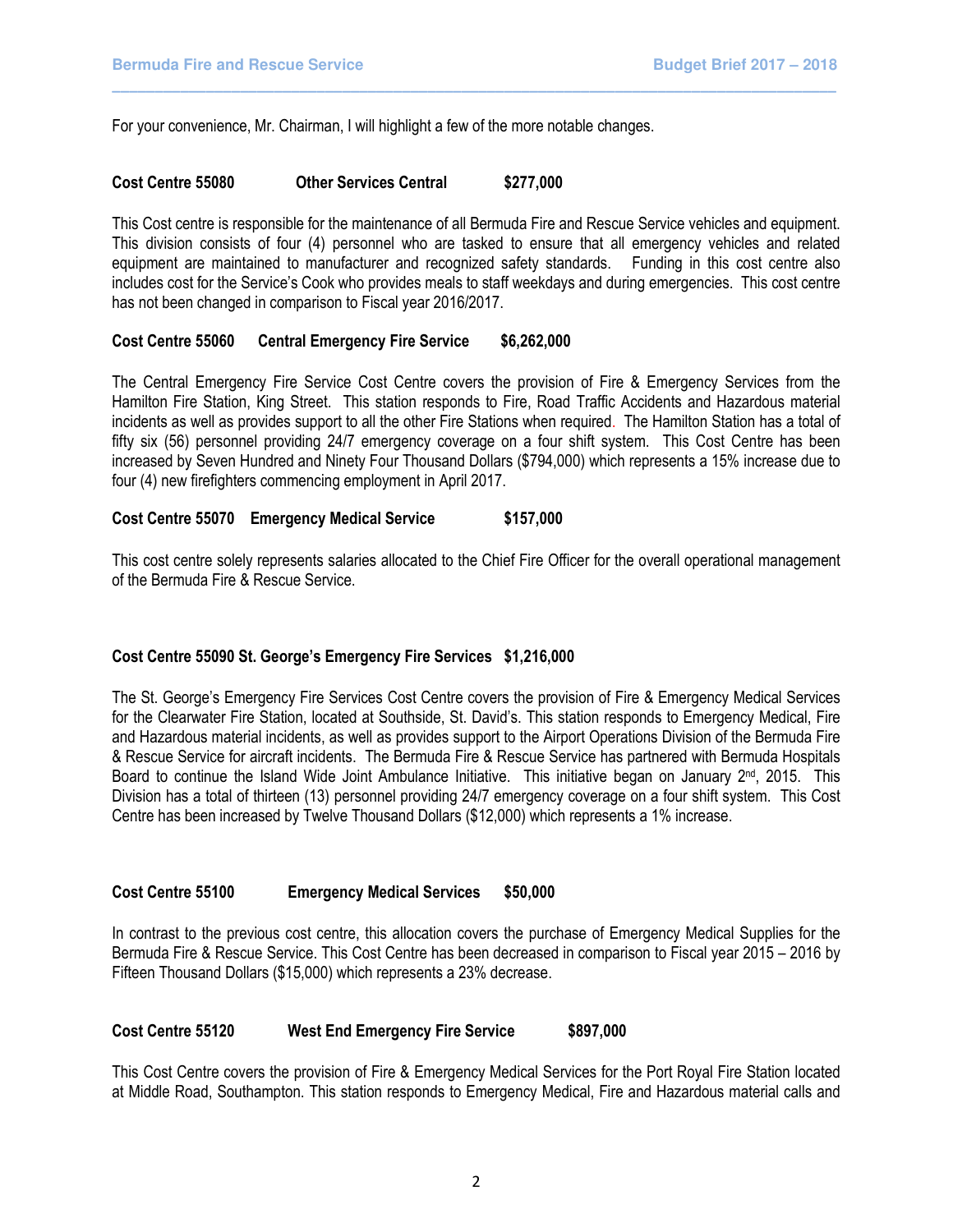For your convenience, Mr. Chairman, I will highlight a few of the more notable changes.

# Cost Centre 55080 Other Services Central \$277,000

This Cost centre is responsible for the maintenance of all Bermuda Fire and Rescue Service vehicles and equipment. This division consists of four (4) personnel who are tasked to ensure that all emergency vehicles and related equipment are maintained to manufacturer and recognized safety standards. Funding in this cost centre also includes cost for the Service's Cook who provides meals to staff weekdays and during emergencies. This cost centre has not been changed in comparison to Fiscal year 2016/2017.

\_\_\_\_\_\_\_\_\_\_\_\_\_\_\_\_\_\_\_\_\_\_\_\_\_\_\_\_\_\_\_\_\_\_\_\_\_\_\_\_\_\_\_\_\_\_\_\_\_\_\_\_\_\_\_\_\_\_\_\_\_\_\_\_\_\_\_\_\_\_\_\_\_\_\_\_\_\_\_\_\_\_\_\_\_

# Cost Centre 55060 Central Emergency Fire Service \$6,262,000

The Central Emergency Fire Service Cost Centre covers the provision of Fire & Emergency Services from the Hamilton Fire Station, King Street. This station responds to Fire, Road Traffic Accidents and Hazardous material incidents as well as provides support to all the other Fire Stations when required. The Hamilton Station has a total of fifty six (56) personnel providing 24/7 emergency coverage on a four shift system. This Cost Centre has been increased by Seven Hundred and Ninety Four Thousand Dollars (\$794,000) which represents a 15% increase due to four (4) new firefighters commencing employment in April 2017.

# Cost Centre 55070 Emergency Medical Service \$157,000

This cost centre solely represents salaries allocated to the Chief Fire Officer for the overall operational management of the Bermuda Fire & Rescue Service.

# Cost Centre 55090 St. George's Emergency Fire Services \$1,216,000

The St. George's Emergency Fire Services Cost Centre covers the provision of Fire & Emergency Medical Services for the Clearwater Fire Station, located at Southside, St. David's. This station responds to Emergency Medical, Fire and Hazardous material incidents, as well as provides support to the Airport Operations Division of the Bermuda Fire & Rescue Service for aircraft incidents. The Bermuda Fire & Rescue Service has partnered with Bermuda Hospitals Board to continue the Island Wide Joint Ambulance Initiative. This initiative began on January 2<sup>nd</sup>, 2015. This Division has a total of thirteen (13) personnel providing 24/7 emergency coverage on a four shift system. This Cost Centre has been increased by Twelve Thousand Dollars (\$12,000) which represents a 1% increase.

# Cost Centre 55100 Emergency Medical Services \$50,000

In contrast to the previous cost centre, this allocation covers the purchase of Emergency Medical Supplies for the Bermuda Fire & Rescue Service. This Cost Centre has been decreased in comparison to Fiscal year 2015 – 2016 by Fifteen Thousand Dollars (\$15,000) which represents a 23% decrease.

# Cost Centre 55120 West End Emergency Fire Service \$897,000

This Cost Centre covers the provision of Fire & Emergency Medical Services for the Port Royal Fire Station located at Middle Road, Southampton. This station responds to Emergency Medical, Fire and Hazardous material calls and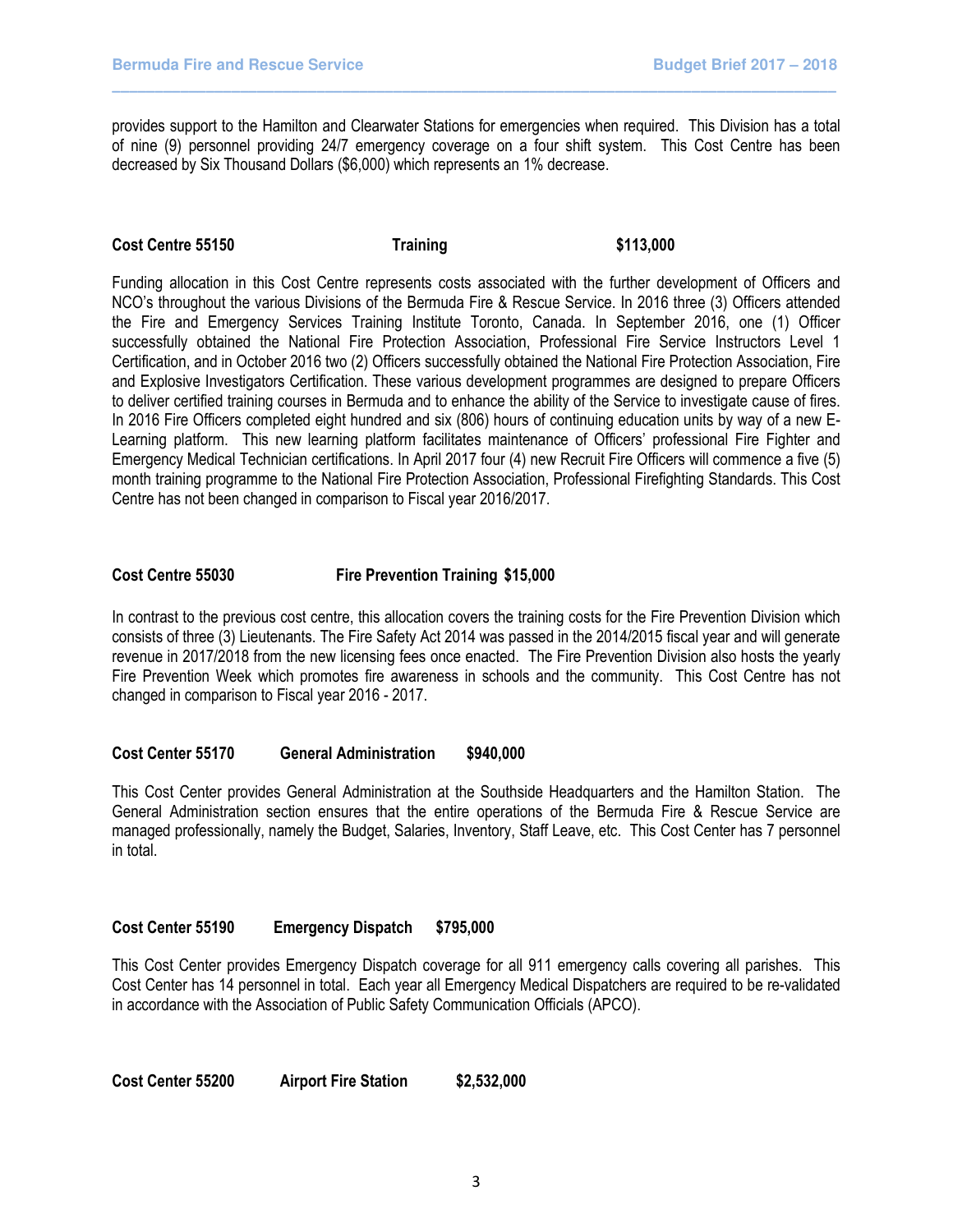provides support to the Hamilton and Clearwater Stations for emergencies when required. This Division has a total of nine (9) personnel providing 24/7 emergency coverage on a four shift system. This Cost Centre has been decreased by Six Thousand Dollars (\$6,000) which represents an 1% decrease.

\_\_\_\_\_\_\_\_\_\_\_\_\_\_\_\_\_\_\_\_\_\_\_\_\_\_\_\_\_\_\_\_\_\_\_\_\_\_\_\_\_\_\_\_\_\_\_\_\_\_\_\_\_\_\_\_\_\_\_\_\_\_\_\_\_\_\_\_\_\_\_\_\_\_\_\_\_\_\_\_\_\_\_\_\_

# Cost Centre 55150 Training \$113,000

Funding allocation in this Cost Centre represents costs associated with the further development of Officers and NCO's throughout the various Divisions of the Bermuda Fire & Rescue Service. In 2016 three (3) Officers attended the Fire and Emergency Services Training Institute Toronto, Canada. In September 2016, one (1) Officer successfully obtained the National Fire Protection Association, Professional Fire Service Instructors Level 1 Certification, and in October 2016 two (2) Officers successfully obtained the National Fire Protection Association, Fire and Explosive Investigators Certification. These various development programmes are designed to prepare Officers to deliver certified training courses in Bermuda and to enhance the ability of the Service to investigate cause of fires. In 2016 Fire Officers completed eight hundred and six (806) hours of continuing education units by way of a new E-Learning platform. This new learning platform facilitates maintenance of Officers' professional Fire Fighter and Emergency Medical Technician certifications. In April 2017 four (4) new Recruit Fire Officers will commence a five (5) month training programme to the National Fire Protection Association, Professional Firefighting Standards. This Cost Centre has not been changed in comparison to Fiscal year 2016/2017.

# Cost Centre 55030 Fire Prevention Training \$15,000

In contrast to the previous cost centre, this allocation covers the training costs for the Fire Prevention Division which consists of three (3) Lieutenants. The Fire Safety Act 2014 was passed in the 2014/2015 fiscal year and will generate revenue in 2017/2018 from the new licensing fees once enacted. The Fire Prevention Division also hosts the yearly Fire Prevention Week which promotes fire awareness in schools and the community. This Cost Centre has not changed in comparison to Fiscal year 2016 - 2017.

### Cost Center 55170 General Administration \$940,000

This Cost Center provides General Administration at the Southside Headquarters and the Hamilton Station. The General Administration section ensures that the entire operations of the Bermuda Fire & Rescue Service are managed professionally, namely the Budget, Salaries, Inventory, Staff Leave, etc. This Cost Center has 7 personnel in total.

# Cost Center 55190 Emergency Dispatch \$795,000

This Cost Center provides Emergency Dispatch coverage for all 911 emergency calls covering all parishes. This Cost Center has 14 personnel in total. Each year all Emergency Medical Dispatchers are required to be re-validated in accordance with the Association of Public Safety Communication Officials (APCO).

Cost Center 55200 Airport Fire Station \$2,532,000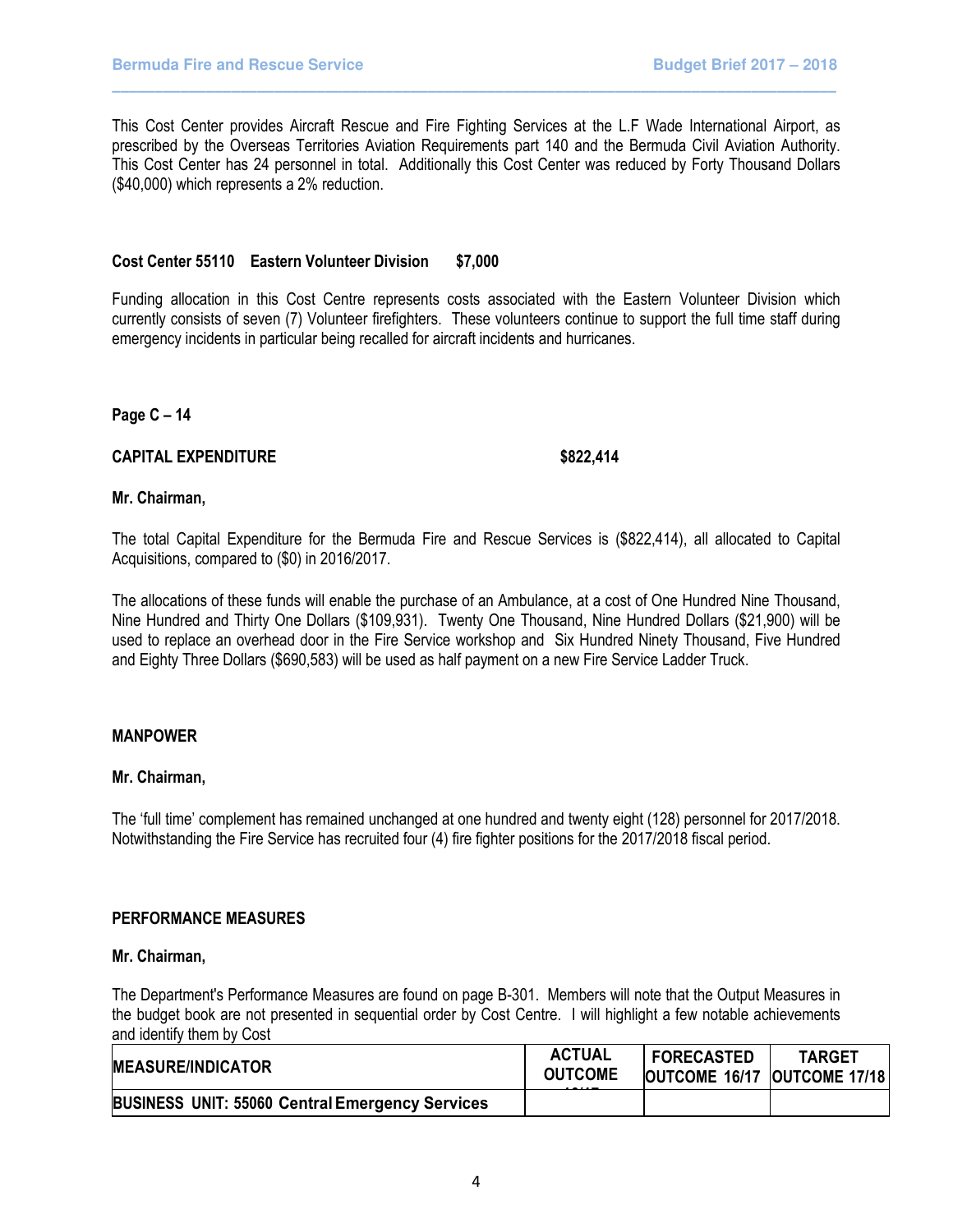This Cost Center provides Aircraft Rescue and Fire Fighting Services at the L.F Wade International Airport, as prescribed by the Overseas Territories Aviation Requirements part 140 and the Bermuda Civil Aviation Authority. This Cost Center has 24 personnel in total. Additionally this Cost Center was reduced by Forty Thousand Dollars (\$40,000) which represents a 2% reduction.

\_\_\_\_\_\_\_\_\_\_\_\_\_\_\_\_\_\_\_\_\_\_\_\_\_\_\_\_\_\_\_\_\_\_\_\_\_\_\_\_\_\_\_\_\_\_\_\_\_\_\_\_\_\_\_\_\_\_\_\_\_\_\_\_\_\_\_\_\_\_\_\_\_\_\_\_\_\_\_\_\_\_\_\_\_

#### Cost Center 55110 Eastern Volunteer Division \$7,000

Funding allocation in this Cost Centre represents costs associated with the Eastern Volunteer Division which currently consists of seven (7) Volunteer firefighters. These volunteers continue to support the full time staff during emergency incidents in particular being recalled for aircraft incidents and hurricanes.

Page C – 14

# CAPITAL EXPENDITURE \$822,414

# Mr. Chairman,

The total Capital Expenditure for the Bermuda Fire and Rescue Services is (\$822,414), all allocated to Capital Acquisitions, compared to (\$0) in 2016/2017.

The allocations of these funds will enable the purchase of an Ambulance, at a cost of One Hundred Nine Thousand, Nine Hundred and Thirty One Dollars (\$109,931). Twenty One Thousand, Nine Hundred Dollars (\$21,900) will be used to replace an overhead door in the Fire Service workshop and Six Hundred Ninety Thousand, Five Hundred and Eighty Three Dollars (\$690,583) will be used as half payment on a new Fire Service Ladder Truck.

# MANPOWER

# Mr. Chairman,

The 'full time' complement has remained unchanged at one hundred and twenty eight (128) personnel for 2017/2018. Notwithstanding the Fire Service has recruited four (4) fire fighter positions for the 2017/2018 fiscal period.

#### PERFORMANCE MEASURES

#### Mr. Chairman,

The Department's Performance Measures are found on page B-301. Members will note that the Output Measures in the budget book are not presented in sequential order by Cost Centre. I will highlight a few notable achievements and identify them by Cost

| <b>MEASURE/INDICATOR</b>                               | ACTUAL<br><b>OUTCOME</b> | <b>FORECASTED</b><br><b>OUTCOME 16/17 OUTCOME 17/18</b> | <b>TARGET</b> |
|--------------------------------------------------------|--------------------------|---------------------------------------------------------|---------------|
| <b>BUSINESS UNIT: 55060 Central Emergency Services</b> |                          |                                                         |               |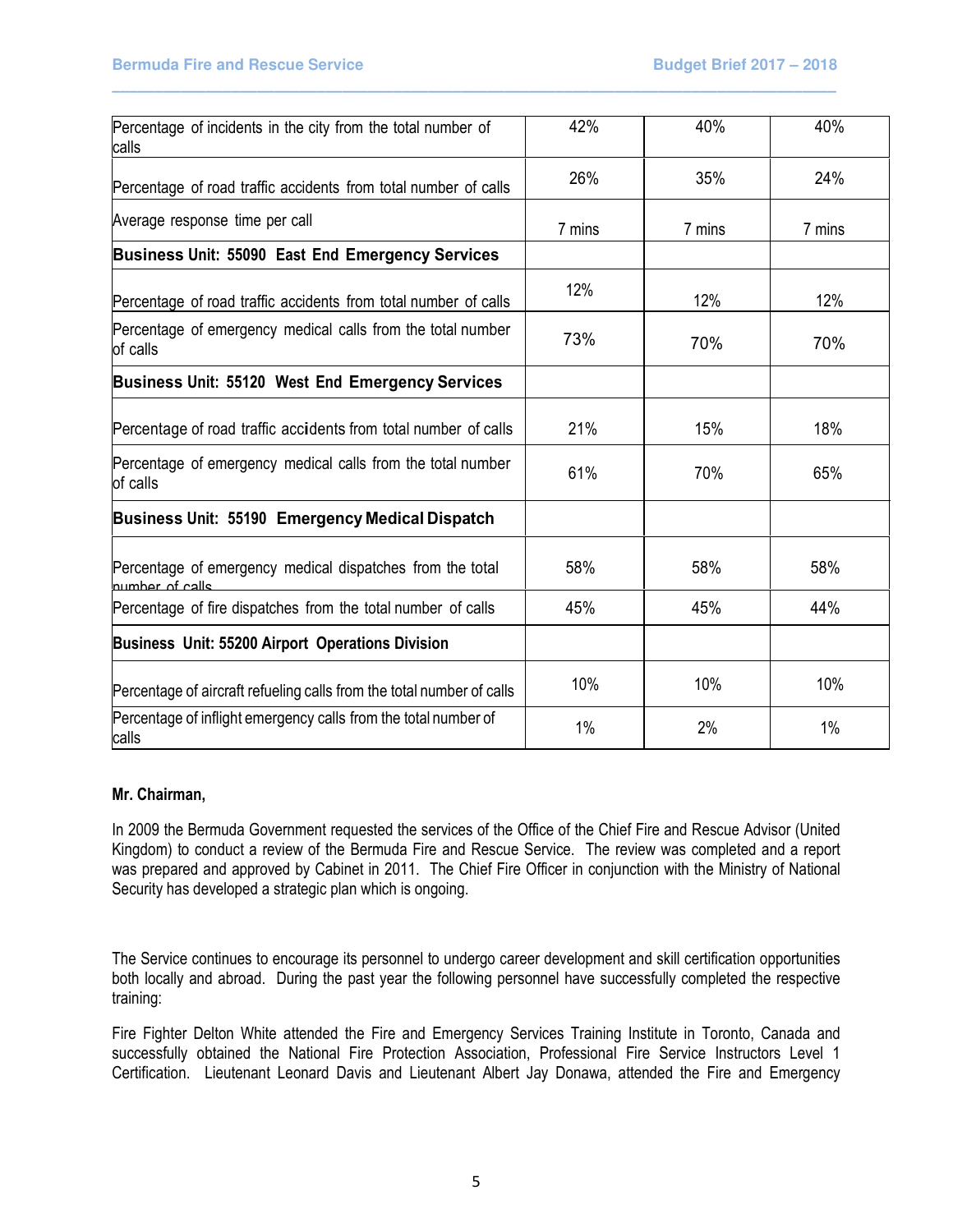| Percentage of incidents in the city from the total number of<br>calls        | 42%    | 40%    | 40%    |
|------------------------------------------------------------------------------|--------|--------|--------|
| Percentage of road traffic accidents from total number of calls              | 26%    | 35%    | 24%    |
| Average response time per call                                               | 7 mins | 7 mins | 7 mins |
| Business Unit: 55090 East End Emergency Services                             |        |        |        |
| Percentage of road traffic accidents from total number of calls              | 12%    | 12%    | 12%    |
| Percentage of emergency medical calls from the total number<br>of calls      | 73%    | 70%    | 70%    |
| Business Unit: 55120 West End Emergency Services                             |        |        |        |
| Percentage of road traffic accidents from total number of calls              | 21%    | 15%    | 18%    |
| Percentage of emergency medical calls from the total number<br>of calls      | 61%    | 70%    | 65%    |
| Business Unit: 55190 Emergency Medical Dispatch                              |        |        |        |
| Percentage of emergency medical dispatches from the total<br>number of calle | 58%    | 58%    | 58%    |
| Percentage of fire dispatches from the total number of calls                 | 45%    | 45%    | 44%    |
| Business Unit: 55200 Airport Operations Division                             |        |        |        |
| Percentage of aircraft refueling calls from the total number of calls        | 10%    | 10%    | 10%    |
| Percentage of inflight emergency calls from the total number of<br>calls     | 1%     | 2%     | 1%     |

\_\_\_\_\_\_\_\_\_\_\_\_\_\_\_\_\_\_\_\_\_\_\_\_\_\_\_\_\_\_\_\_\_\_\_\_\_\_\_\_\_\_\_\_\_\_\_\_\_\_\_\_\_\_\_\_\_\_\_\_\_\_\_\_\_\_\_\_\_\_\_\_\_\_\_\_\_\_\_\_\_\_\_\_\_

# Mr. Chairman,

In 2009 the Bermuda Government requested the services of the Office of the Chief Fire and Rescue Advisor (United Kingdom) to conduct a review of the Bermuda Fire and Rescue Service. The review was completed and a report was prepared and approved by Cabinet in 2011. The Chief Fire Officer in conjunction with the Ministry of National Security has developed a strategic plan which is ongoing.

The Service continues to encourage its personnel to undergo career development and skill certification opportunities both locally and abroad. During the past year the following personnel have successfully completed the respective training:

Fire Fighter Delton White attended the Fire and Emergency Services Training Institute in Toronto, Canada and successfully obtained the National Fire Protection Association, Professional Fire Service Instructors Level 1 Certification. Lieutenant Leonard Davis and Lieutenant Albert Jay Donawa, attended the Fire and Emergency